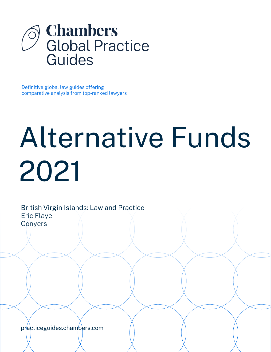

Definitive global law guides offering comparative analysis from top-ranked lawyers

# Alternative Funds 2021

British Virgin Islands: Law and Practice Eric Flaye **Conyers** 

[practiceguides.chambers.com](http://practiceguides.chambers.com)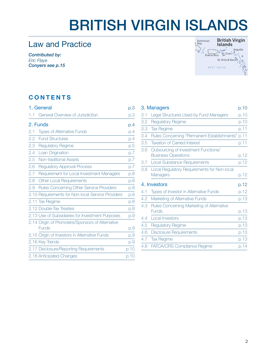# BRITISH VIRGIN ISLANDS

# Law and Practice

*Contributed by: Eric Flaye Conyer[s see p.15](#page-14-0)*



### **CONTENTS**

| 1. General |                                                           | p.3  |
|------------|-----------------------------------------------------------|------|
| 1.1        | General Overview of Jurisdiction                          | р.З  |
|            | 2. Funds                                                  | p.4  |
| 2.1        | <b>Types of Alternative Funds</b>                         | p.4  |
| 2.2        | <b>Fund Structures</b>                                    | p.4  |
| 2.3        | <b>Regulatory Regime</b>                                  | p.5  |
| 2.4        | Loan Origination                                          | D.7  |
| 2.5        | Non-traditional Assets                                    | p.7  |
| 2.6        | <b>Regulatory Approval Process</b>                        | D.7  |
| 2.7        | Requirement for Local Investment Managers                 | D.8  |
| 2.8        | <b>Other Local Requirements</b>                           | p.8  |
| 2.9        | Rules Concerning Other Service Providers                  | D.8  |
|            | 2.10 Requirements for Non-local Service Providers         | D.8  |
|            | 2.11 Tax Regime                                           | p.8  |
|            | 2.12 Double-Tax Treaties                                  | p.8  |
|            | 2.13 Use of Subsidiaries for Investment Purposes          | p.9  |
|            | 2.14 Origin of Promoters/Sponsors of Alternative<br>Funds | p.9  |
|            | 2.15 Origin of Investors in Alternative Funds             | p.9  |
|            | 2.16 Key Trends                                           | p.9  |
|            | 2.17 Disclosure/Reporting Requirements                    | p.10 |
|            | 2.18 Anticipated Changes                                  | p.10 |
|            |                                                           |      |

|               | 3. Managers                                                        | p.10 |
|---------------|--------------------------------------------------------------------|------|
| 3.1           | Legal Structures Used by Fund Managers                             | p.10 |
| 3.2           | <b>Regulatory Regime</b>                                           | p.10 |
| 3.3           | <b>Tax Regime</b>                                                  | p.11 |
| 3.4           | Rules Concerning "Permanent Establishments"                        | p.11 |
| 3.5           | <b>Taxation of Carried Interest</b>                                | p.11 |
| 3.6           | Outsourcing of Investment Functions/<br><b>Business Operations</b> | p.12 |
| 3.7           | <b>Local Substance Requirements</b>                                | p.12 |
| 3.8           | Local Regulatory Requirements for Non-local<br>Managers            | p.12 |
| 4. Investors  |                                                                    | p.12 |
| 4.1           | Types of Investor in Alternative Funds                             | p.12 |
| 4.2           | Marketing of Alternative Funds                                     | p.13 |
| 4.3           | Rules Concerning Marketing of Alternative<br><b>Funds</b>          | p.13 |
| 4.4           | Local Investors                                                    | p.13 |
| 4.5           | <b>Regulatory Regime</b>                                           | p.13 |
| 4.6           | <b>Disclosure Requirements</b>                                     | p.13 |
| $4.7^{\circ}$ | <b>Tax Regime</b>                                                  | p.13 |
| 4.8           | <b>FATCA/CRS Compliance Regime</b>                                 | p.14 |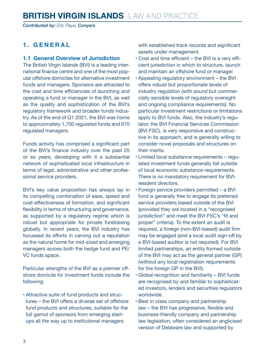<span id="page-2-0"></span>*Contributed by: Eric Flaye, Conyers*

#### **1. GENERAL**

#### **1.1 General Overview of Jurisdiction**

The British Virgin Islands (BVI) is a leading international finance centre and one of the most popular offshore domiciles for alternative investment funds and managers. Sponsors are attracted to the cost and time efficiencies of launching and operating a fund or manager in the BVI, as well as the quality and sophistication of the BVI's regulatory framework and broader funds industry. As of the end of Q1 2021, the BVI was home to approximately 1,700 regulated funds and 670 regulated managers.

Funds activity has comprised a significant part of the BVI's finance industry over the past 25 or so years, developing with it a substantial network of sophisticated local infrastructure in terms of legal, administrative and other professional service providers.

BVI's key value proposition has always lay in its compelling combination of ease, speed and cost-effectiveness of formation, and significant flexibility in terms of structuring and governance, as supported by a regulatory regime which is robust but appropriate for private fundraising globally. In recent years, the BVI industry has focussed its efforts in carving out a reputation as the natural home for mid-sized and emerging managers across both the hedge fund and PE/ VC funds space.

Particular strengths of the BVI as a premier offshore domicile for investment funds include the following.

• Attractive suite of fund products and structures – the BVI offers a diverse set of offshore fund products and structures, suitable for the full gamut of sponsors from emerging startups all the way up to institutional managers

with established track records and significant assets under management.

- Cost and time efficient the BVI is a very efficient jurisdiction in which to structure, launch and maintain an offshore fund or manager.
- Appealing regulatory environment the BVI offers robust but proportionate levels of industry regulation (with sound but commercially sensible levels of regulatory oversight and ongoing compliance requirements). No particular investment restrictions or limitations apply to BVI funds. Also, the industry's regulator, the BVI Financial Services Commission (BVI FSC), is very responsive and constructive in its approach, and is generally willing to consider novel proposals and structures on their merits.
- Limited local substance requirements regulated investment funds generally fall outside of local economic substance requirements. There is no mandatory requirement for BVIresident directors.
- Foreign service providers permitted a BVI fund is generally free to engage its preferred service providers based outside of the BVI (provided they are located in a "recognised jurisdiction" and meet the BVI FSC's "fit and proper" criteria). To the extent an audit is required, a foreign (non-BVI-based) audit firm may be engaged (and a local audit sign-off by a BVI-based auditor is not required). For BVI limited partnerships, an entity formed outside of the BVI may act as the general partner (GP) (without any local registration requirements for the foreign GP in the BVI).
- Global recognition and familiarity BVI funds are recognised by and familiar to sophisticated investors, lenders and securities regulators worldwide.
- Best in class company and partnership law – the BVI has progressive, flexible and business-friendly company and partnership law legislation, often considered an anglicised version of Delaware law and supported by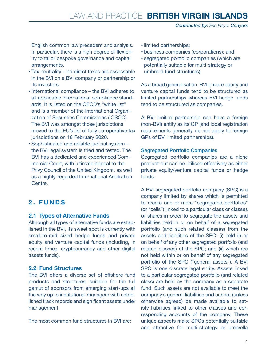<span id="page-3-0"></span>English common law precedent and analysis. In particular, there is a high degree of flexibility to tailor bespoke governance and capital arrangements.

- Tax neutrality no direct taxes are assessable in the BVI on a BVI company or partnership or its investors.
- International compliance the BVI adheres to all applicable international compliance standards. It is listed on the OECD's "white list" and is a member of the International Organization of Securities Commissions (IOSCO). The BVI was amongst those jurisdictions moved to the EU's list of fully co-operative tax jurisdictions on 18 February 2020.
- Sophisticated and reliable judicial system the BVI legal system is tried and tested. The BVI has a dedicated and experienced Commercial Court, with ultimate appeal to the Privy Council of the United Kingdom, as well as a highly-regarded International Arbitration Centre.

### **2. FUNDS**

#### **2.1 Types of Alternative Funds**

Although all types of alternative funds are established in the BVI, its sweet spot is currently with small-to-mid sized hedge funds and private equity and venture capital funds (including, in recent times, cryptocurrency and other digital assets funds).

#### **2.2 Fund Structures**

The BVI offers a diverse set of offshore fund products and structures, suitable for the full gamut of sponsors from emerging start-ups all the way up to institutional managers with established track records and significant assets under management.

The most common fund structures in BVI are:

- limited partnerships;
- business companies (corporations); and
- segregated portfolio companies (which are potentially suitable for multi-strategy or umbrella fund structures).

As a broad generalisation, BVI private equity and venture capital funds tend to be structured as limited partnerships whereas BVI hedge funds tend to be structured as companies.

A BVI limited partnership can have a foreign (non-BVI) entity as its GP (and local registration requirements generally do not apply to foreign GPs of BVI limited partnerships).

#### Segregated Portfolio Companies

Segregated portfolio companies are a niche product but can be utilised effectively as either private equity/venture capital funds or hedge funds.

A BVI segregated portfolio company (SPC) is a company limited by shares which is permitted to create one or more "segregated portfolios" (or "cells") linked to a particular class or classes of shares in order to segregate the assets and liabilities held in or on behalf of a segregated portfolio (and such related classes) from the assets and liabilities of the SPC: (i) held in or on behalf of any other segregated portfolio (and related classes) of the SPC; and (ii) which are not held within or on behalf of any segregated portfolio of the SPC ("general assets"). A BVI SPC is one discrete legal entity. Assets linked to a particular segregated portfolio (and related class) are held by the company as a separate fund. Such assets are not available to meet the company's general liabilities and cannot (unless otherwise agreed) be made available to satisfy liabilities linked to other classes and corresponding accounts of the company. These unique aspects make SPCs potentially suitable and attractive for multi-strategy or umbrella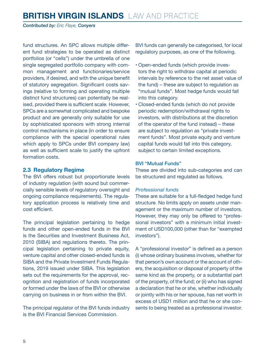<span id="page-4-0"></span>*Contributed by: Eric Flaye, Conyers*

fund structures. An SPC allows multiple different fund strategies to be operated as distinct portfolios (or "cells") under the umbrella of one single segregated portfolio company with common management and functionaries/service providers, if desired, and with the unique benefit of statutory segregation. Significant costs savings (relative to forming and operating multiple distinct fund structures) can potentially be realised, provided there is sufficient scale. However, SPCs are a somewhat complicated and bespoke product and are generally only suitable for use by sophisticated sponsors with strong internal control mechanisms in place (in order to ensure compliance with the special operational rules which apply to SPCs under BVI company law) as well as sufficient scale to justify the upfront formation costs.

#### **2.3 Regulatory Regime**

The BVI offers robust but proportionate levels of industry regulation (with sound but commercially sensible levels of regulatory oversight and ongoing compliance requirements). The regulatory application process is relatively time and cost efficient.

The principal legislation pertaining to hedge funds and other open-ended funds in the BVI is the Securities and Investment Business Act 2010 (SIBA) and regulations thereto. The principal legislation pertaining to private equity, venture capital and other closed-ended funds is SIBA and the Private Investment Funds Regulations, 2019 issued under SIBA. This legislation sets out the requirements for the approval, recognition and registration of funds incorporated or formed under the laws of the BVI or otherwise carrying on business in or from within the BVI.

The principal regulator of the BVI funds industry is the BVI Financial Services Commission.

BVI funds can generally be categorised, for local regulatory purposes, as one of the following.

- Open-ended funds (which provide investors the right to withdraw capital at periodic intervals by reference to the net asset value of the fund) – these are subject to regulation as "mutual funds". Most hedge funds would fall into this category.
- Closed-ended funds (which do not provide periodic redemption/withdrawal rights to investors, with distributions at the discretion of the operator of the fund instead) – these are subject to regulation as "private investment funds". Most private equity and venture capital funds would fall into this category, subject to certain limited exceptions.

#### BVI "Mutual Funds"

These are divided into sub-categories and can be structured and regulated as follows.

#### *Professional funds*

These are suitable for a full-fledged hedge fund structure. No limits apply on assets under management or the maximum number of investors. However, they may only be offered to "professional investors" with a minimum initial investment of USD100,000 (other than for "exempted investors").

A "professional investor" is defined as a person (i) whose ordinary business involves, whether for that person's own account or the account of others, the acquisition or disposal of property of the same kind as the property, or a substantial part of the property, of the fund; or (ii) who has signed a declaration that he or she, whether individually or jointly with his or her spouse, has net worth in excess of USD1 million and that he or she consents to being treated as a professional investor.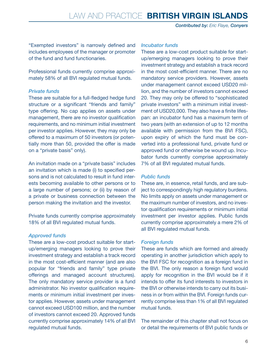"Exempted investors" is narrowly defined and includes employees of the manager or promoter of the fund and fund functionaries.

Professional funds currently comprise approximately 58% of all BVI regulated mutual funds.

#### *Private funds*

These are suitable for a full-fledged hedge fund structure or a significant "friends and family" type offering. No cap applies on assets under management, there are no investor qualification requirements, and no minimum initial investment per investor applies. However, they may only be offered to a maximum of 50 investors (or potentially more than 50, provided the offer is made on a "private basis" only).

An invitation made on a "private basis" includes an invitation which is made (i) to specified persons and is not calculated to result in fund interests becoming available to other persons or to a large number of persons; or (ii) by reason of a private or business connection between the person making the invitation and the investor.

Private funds currently comprise approximately 18% of all BVI regulated mutual funds.

#### *Approved funds*

These are a low-cost product suitable for startup/emerging managers looking to prove their investment strategy and establish a track record in the most cost-efficient manner (and are also popular for "friends and family" type private offerings and managed account structures). The only mandatory service provider is a fund administrator. No investor qualification requirements or minimum initial investment per investor applies. However, assets under management cannot exceed USD100 million, and the number of investors cannot exceed 20. Approved funds currently comprise approximately 14% of all BVI regulated mutual funds.

#### *Incubator funds*

These are a low-cost product suitable for startup/emerging managers looking to prove their investment strategy and establish a track record in the most cost-efficient manner. There are no mandatory service providers. However, assets under management cannot exceed USD20 million, and the number of investors cannot exceed 20. They may only be offered to "sophisticated private investors" with a minimum initial investment of USD20,000. They also have a finite lifespan: an incubator fund has a maximum term of two years (with an extension of up to 12 months available with permission from the BVI FSC), upon expiry of which the fund must be converted into a professional fund, private fund or approved fund or otherwise be wound up. Incubator funds currently comprise approximately 7% of all BVI regulated mutual funds.

#### *Public funds*

These are, in essence, retail funds, and are subject to correspondingly high regulatory burdens. No limits apply on assets under management or the maximum number of investors, and no investor qualification requirements or minimum initial investment per investor applies. Public funds currently comprise approximately a mere 2% of all BVI regulated mutual funds.

#### *Foreign funds*

These are funds which are formed and already operating in another jurisdiction which apply to the BVI FSC for recognition as a foreign fund in the BVI. The only reason a foreign fund would apply for recognition in the BVI would be if it intends to offer its fund interests to investors in the BVI or otherwise intends to carry out its business in or from within the BVI. Foreign funds currently comprise less than 1% of all BVI regulated mutual funds.

The remainder of this chapter shall not focus on or detail the requirements of BVI public funds or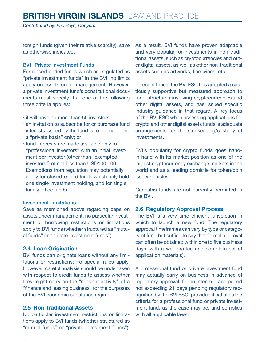## <span id="page-6-0"></span>**BRITISH VIRGIN ISLANDS** LAW AND PRACTICE

*Contributed by: Eric Flaye, Conyers*

foreign funds (given their relative scarcity), save as otherwise indicated.

#### BVI "Private Investment Funds

For closed-ended funds which are regulated as "private investment funds" in the BVI, no limits apply on assets under management. However, a private investment fund's constitutional documents must specify that one of the following three criteria applies:

- it will have no more than 50 investors;
- an invitation to subscribe for or purchase fund interests issued by the fund is to be made on a "private basis" only; or
- fund interests are made available only to "professional investors" with an initial investment per investor (other than "exempted investors") of not less than USD100,000. Exemptions from regulation may potentially apply for closed-ended funds which only hold one single investment holding, and for single family office funds.

#### Investment Limitations

Save as mentioned above regarding caps on assets under management, no particular investment or borrowing restrictions or limitations apply to BVI funds (whether structured as "mutual funds" or "private investment funds").

#### **2.4 Loan Origination**

BVI funds can originate loans without any limitations or restrictions; no special rules apply. However, careful analysis should be undertaken with respect to credit funds to assess whether they might carry on the "relevant activity" of a "finance and leasing business" for the purposes of the BVI economic substance regime.

#### **2.5 Non-traditional Assets**

No particular investment restrictions or limitations apply to BVI funds (whether structured as "mutual funds" or "private investment funds"). As a result, BVI funds have proven adaptable and very popular for investments in non-traditional assets, such as cryptocurrencies and other digital assets, as well as other non-traditional assets such as artworks, fine wines, etc.

In recent times, the BVI FSC has adopted a cautiously supportive but measured approach to fund structures involving cryptocurrencies and other digital assets, and has issued specific industry guidance in that regard. A key focus of the BVI FSC when assessing applications for crypto and other digital assets funds is adequate arrangements for the safekeeping/custody of investments.

BVI's popularity for crypto funds goes handin-hand with its market position as one of the largest cryptocurrency exchange markets in the world and as a leading domicile for token/coin issuer vehicles.

Cannabis funds are not currently permitted in the BVI.

#### **2.6 Regulatory Approval Process**

The BVI is a very time efficient jurisdiction in which to launch a new fund. The regulatory approval timeframes can vary by type or category of fund but suffice to say that formal approval can often be obtained within one to five business days (with a well-drafted and complete set of application materials).

A professional fund or private investment fund may actually carry on business in advance of regulatory approval, for an interim grace period not exceeding 21 days pending regulatory recognition by the BVI FSC, provided it satisfies the criteria for a professional fund or private investment fund, as the case may be, and complies with all applicable laws.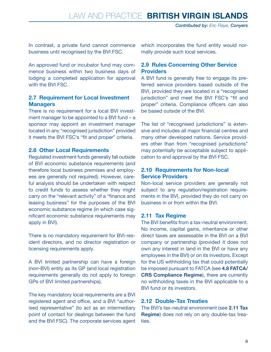<span id="page-7-0"></span>In contrast, a private fund cannot commence business until recognised by the BVI FSC.

An approved fund or incubator fund may commence business within two business days of lodging a completed application for approval with the BVI FSC.

#### **2.7 Requirement for Local Investment Managers**

There is no requirement for a local BVI investment manager to be appointed to a BVI fund – a sponsor may appoint an investment manager located in any "recognised jurisdiction" provided it meets the BVI FSC's "fit and proper" criteria.

#### **2.8 Other Local Requirements**

Regulated investment funds generally fall outside of BVI economic substance requirements (and therefore local business premises and employees are generally not required). However, careful analysis should be undertaken with respect to credit funds to assess whether they might carry on the "relevant activity" of a "finance and leasing business" for the purposes of the BVI economic substance regime (in which case significant economic substance requirements may apply in BVI).

There is no mandatory requirement for BVI-resident directors, and no director registration or licensing requirements apply.

A BVI limited partnership can have a foreign (non-BVI) entity as its GP (and local registration requirements generally do not apply to foreign GPs of BVI limited partnerships).

The key mandatory local requirements are a BVI registered agent and office, and a BVI "authorised representative" (to act as an intermediary point of contact for dealings between the fund and the BVI FSC). The corporate services agent which incorporates the fund entity would normally provide such local services.

#### **2.9 Rules Concerning Other Service Providers**

A BVI fund is generally free to engage its preferred service providers based outside of the BVI, provided they are located in a "recognised jurisdiction" and meet the BVI FSC's "fit and proper" criteria. Compliance officers can also be based outside of the BVI.

The list of "recognised jurisdictions" is extensive and includes all major financial centres and many other developed nations. Service providers other than from "recognised jurisdictions" may potentially be acceptable subject to application to and approval by the BVI FSC.

#### **2.10 Requirements for Non-local Service Providers**

Non-local service providers are generally not subject to any regulation/registration requirements in the BVI, provided they do not carry on business in or from within the BVI.

#### **2.11 Tax Regime**

The BVI benefits from a tax-neutral environment. No income, capital gains, inheritance or other direct taxes are assessable in the BVI on a BVI company or partnership (provided it does not own any interest in land in the BVI or have any employees in the BVI) or on its investors. Except for the US withholding tax that could potentially be imposed pursuant to FATCA (see **4.8 FATCA/ CRS Compliance Regime**), there are currently no withholding taxes in the BVI applicable to a BVI fund or its investors.

#### **2.12 Double-Tax Treaties**

The BVI's tax-neutral environment (see **2.11 Tax Regime**) does not rely on any double-tax treaties.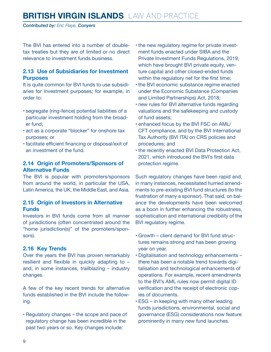# <span id="page-8-0"></span>**BRITISH VIRGIN ISLANDS** LAW AND PRACTICE

*Contributed by: Eric Flaye, Conyers*

The BVI has entered into a number of doubletax treaties but they are of limited or no direct relevance to investment funds business.

#### **2.13 Use of Subsidiaries for Investment Purposes**

It is quite common for BVI funds to use subsidiaries for investment purposes; for example, in order to:

- segregate (ring-fence) potential liabilities of a particular investment holding from the broader fund;
- act as a corporate "blocker" for onshore tax purposes; or
- facilitate efficient financing or disposal/exit of an investment of the fund.

#### **2.14 Origin of Promoters/Sponsors of Alternative Funds**

The BVI is popular with promoters/sponsors from around the world, in particular the USA, Latin America, the UK, the Middle East, and Asia.

#### **2.15 Origin of Investors in Alternative Funds**

Investors in BVI funds come from all manner of jurisdictions (often concentrated around the "home jurisdiction(s)" of the promoters/sponsors).

#### **2.16 Key Trends**

Over the years the BVI has proven remarkably resilient and flexible in quickly adapting to – and, in some instances, trailblazing – industry changes.

A few of the key recent trends for alternative funds established in the BVI include the following.

• Regulatory changes – the scope and pace of regulatory change has been incredible in the past two years or so. Key changes include:

- the new regulatory regime for private investment funds enacted under SIBA and the Private Investment Funds Regulations, 2019, which have brought BVI private equity, venture capital and other closed-ended funds within the regulatory net for the first time;
- the BVI economic substance regime enacted under the Economic Substance (Companies and Limited Partnerships) Act, 2018;
- new rules for BVI alternative funds regarding valuations and the safekeeping and custody of fund assets;
- enhanced focus by the BVI FSC on AML/ CFT compliance, and by the BVI International Tax Authority (BVI ITA) on CRS policies and procedures; and
- the recently enacted BVI Data Protection Act, 2021, which introduced the BVI's first data protection regime.

Such regulatory changes have been rapid and, in many instances, necessitated hurried amendments to pre-existing BVI fund structures (to the frustration of many a sponsor). That said, on balance the developments have been welcomed as a boon in further enhancing the robustness, sophistication and international credibility of the BVI regulatory regime.

- Growth client demand for BVI fund structures remains strong and has been growing year on year.
- Digitalisation and technology enhancements there has been a notable trend towards digitalisation and technological enhancements of operations. For example, recent amendments to the BVI's AML rules now permit digital ID verification and the receipt of electronic copies of documents.
- ESG in keeping with many other leading funds jurisdictions, environmental, social and governance (ESG) considerations now feature prominently in many new fund launches.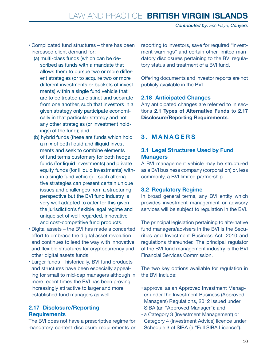- <span id="page-9-0"></span>• Complicated fund structures – there has been increased client demand for:
	- (a) multi-class funds (which can be described as funds with a mandate that allows them to pursue two or more different strategies (or to acquire two or more different investments or buckets of investments) within a single fund vehicle that are to be treated as distinct and separate from one another, such that investors in a given strategy only participate economically in that particular strategy and not any other strategies (or investment holdings) of the fund); and
	- (b) hybrid funds (these are funds which hold a mix of both liquid and illiquid investments and seek to combine elements of fund terms customary for both hedge funds (for liquid investments) and private equity funds (for illiquid investments) within a single fund vehicle) – such alternative strategies can present certain unique issues and challenges from a structuring perspective but the BVI fund industry is very well adapted to cater for this given the jurisdiction's flexible legal regime and unique set of well-regarded, innovative and cost-competitive fund products.
- Digital assets the BVI has made a concerted effort to embrace the digital asset revolution and continues to lead the way with innovative and flexible structures for cryptocurrency and other digital assets funds.
- Larger funds historically, BVI fund products and structures have been especially appealing for small to mid-cap managers although in more recent times the BVI has been proving increasingly attractive to larger and more established fund managers as well.

#### **2.17 Disclosure/Reporting Requirements**

The BVI does not have a prescriptive regime for mandatory content disclosure requirements or reporting to investors, save for required "investment warnings" and certain other limited mandatory disclosures pertaining to the BVI regulatory status and treatment of a BVI fund.

Offering documents and investor reports are not publicly available in the BVI.

#### **2.18 Anticipated Changes**

Any anticipated changes are referred to in sections **2.1 Types of Alternative Funds** to **2.17 Disclosure/Reporting Requirements**.

#### **3. MANAGERS**

#### **3.1 Legal Structures Used by Fund Managers**

A BVI management vehicle may be structured as a BVI business company (corporation) or, less commonly, a BVI limited partnership.

#### **3.2 Regulatory Regime**

In broad general terms, any BVI entity which provides investment management or advisory services will be subject to regulation in the BVI.

The principal legislation pertaining to alternative fund managers/advisers in the BVI is the Securities and Investment Business Act, 2010 and regulations thereunder. The principal regulator of the BVI fund management industry is the BVI Financial Services Commission.

The two key options available for regulation in the BVI include:

- approval as an Approved Investment Manager under the Investment Business (Approved Managers) Regulations, 2012 issued under SIBA (an "Approved Manager"); and
- a Category 3 (Investment Management) or Category 4 (Investment Advice) licence under Schedule 3 of SIBA (a "Full SIBA Licence").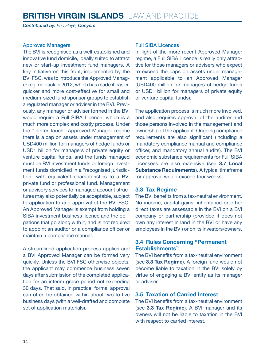<span id="page-10-0"></span>*Contributed by: Eric Flaye, Conyers*

#### Approved Managers

The BVI is recognised as a well-established and innovative fund domicile, ideally suited to attract new or start-up investment fund managers. A key initiative on this front, implemented by the BVI FSC, was to introduce the Approved Manager regime back in 2012, which has made it easier, quicker and more cost-effective for small and medium-sized fund sponsor groups to establish a regulated manager or adviser in the BVI. Previously, any manager or adviser formed in the BVI would require a Full SIBA Licence, which is a much more complex and costly process. Under the "lighter touch" Approved Manager regime there is a cap on assets under management of USD400 million for managers of hedge funds or USD1 billion for managers of private equity or venture capital funds, and the funds managed must be BVI investment funds or foreign investment funds domiciled in a "recognised jurisdiction" with equivalent characteristics to a BVI private fund or professional fund. Management or advisory services to managed account structures may also potentially be acceptable, subject to application to and approval of the BVI FSC. An Approved Manager is exempt from holding a SIBA investment business licence and the obligations that go along with it, and is not required to appoint an auditor or a compliance officer or maintain a compliance manual.

A streamlined application process applies and a BVI Approved Manager can be formed very quickly. Unless the BVI FSC otherwise objects, the applicant may commence business seven days after submission of the completed application for an interim grace period not exceeding 30 days. That said, in practice, formal approval can often be obtained within about two to five business days (with a well-drafted and complete set of application materials).

#### Full SIBA Licences

In light of the more recent Approved Manager regime, a Full SIBA Licence is really only attractive for those managers or advisers who expect to exceed the caps on assets under management applicable to an Approved Manager (USD400 million for managers of hedge funds or USD1 billion for managers of private equity or venture capital funds).

The application process is much more involved, and also requires approval of the auditor and those persons involved in the management and ownership of the applicant. Ongoing compliance requirements are also significant (including a mandatory compliance manual and compliance officer, and mandatory annual audits). The BVI economic substance requirements for Full SIBA Licensees are also extensive (see **3.7 Local Substance Requirements**). A typical timeframe for approval would exceed four weeks.

#### **3.3 Tax Regime**

The BVI benefits from a tax-neutral environment. No income, capital gains, inheritance or other direct taxes are assessable in the BVI on a BVI company or partnership (provided it does not own any interest in land in the BVI or have any employees in the BVI) or on its investors/owners.

#### **3.4 Rules Concerning "Permanent Establishments"**

The BVI benefits from a tax-neutral environment (see **3.3 Tax Regime**). A foreign fund would not become liable to taxation in the BVI solely by virtue of engaging a BVI entity as its manager or adviser.

#### **3.5 Taxation of Carried Interest**

The BVI benefits from a tax-neutral environment (see **3.3 Tax Regime**). A BVI manager and its owners will not be liable to taxation in the BVI with respect to carried interest.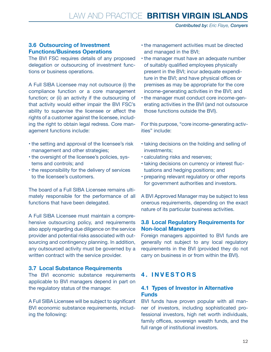#### <span id="page-11-0"></span>**3.6 Outsourcing of Investment Functions/Business Operations**

The BVI FSC requires details of any proposed delegation or outsourcing of investment functions or business operations.

A Full SIBA Licensee may not outsource (i) the compliance function or a core management function; or (ii) an activity if the outsourcing of that activity would either impair the BVI FSC's ability to supervise the licensee or affect the rights of a customer against the licensee, including the right to obtain legal redress. Core management functions include:

- the setting and approval of the licensee's risk management and other strategies;
- the oversight of the licensee's policies, systems and controls; and
- the responsibility for the delivery of services to the licensee's customers.

The board of a Full SIBA Licensee remains ultimately responsible for the performance of all functions that have been delegated.

A Full SIBA Licensee must maintain a comprehensive outsourcing policy, and requirements also apply regarding due diligence on the service provider and potential risks associated with outsourcing and contingency planning. In addition, any outsourced activity must be governed by a written contract with the service provider.

#### **3.7 Local Substance Requirements**

The BVI economic substance requirements applicable to BVI managers depend in part on the regulatory status of the manager.

A Full SIBA Licensee will be subject to significant BVI economic substance requirements, including the following:

- the management activities must be directed and managed in the BVI;
- the manager must have an adequate number of suitably qualified employees physically present in the BVI; incur adequate expenditure in the BVI; and have physical offices or premises as may be appropriate for the core income-generating activities in the BVI; and
- the manager must conduct core income-generating activities in the BVI (and not outsource those functions outside the BVI).

For this purpose, "core income-generating activities" include:

- taking decisions on the holding and selling of investments;
- calculating risks and reserves;
- taking decisions on currency or interest fluctuations and hedging positions; and
- preparing relevant regulatory or other reports for government authorities and investors.

A BVI Approved Manager may be subject to less onerous requirements, depending on the exact nature of its particular business activities.

#### **3.8 Local Regulatory Requirements for Non-local Managers**

Foreign managers appointed to BVI funds are generally not subject to any local regulatory requirements in the BVI (provided they do not carry on business in or from within the BVI).

#### **4. INVESTORS**

#### **4.1 Types of Investor in Alternative Funds**

BVI funds have proven popular with all manner of investors, including sophisticated professional investors, high net worth individuals, family offices, sovereign wealth funds, and the full range of institutional investors.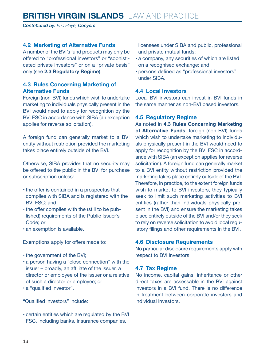<span id="page-12-0"></span>*Contributed by: Eric Flaye, Conyers*

#### **4.2 Marketing of Alternative Funds**

A number of the BVI's fund products may only be offered to "professional investors" or "sophisticated private investors" or on a "private basis" only (see **2.3 Regulatory Regime**).

#### **4.3 Rules Concerning Marketing of Alternative Funds**

Foreign (non-BVI) funds which wish to undertake marketing to individuals physically present in the BVI would need to apply for recognition by the BVI FSC in accordance with SIBA (an exception applies for reverse solicitation).

A foreign fund can generally market to a BVI entity without restriction provided the marketing takes place entirely outside of the BVI.

Otherwise, SIBA provides that no security may be offered to the public in the BVI for purchase or subscription unless:

- the offer is contained in a prospectus that complies with SIBA and is registered with the BVI FSC; and
- the offer complies with the (still to be published) requirements of the Public Issuer's Code; or
- an exemption is available.

Exemptions apply for offers made to:

- the government of the BVI;
- a person having a "close connection" with the issuer – broadly, an affiliate of the issuer, a director or employee of the issuer or a relative of such a director or employee; or
- a "qualified investor".

"Qualified investors" include:

• certain entities which are regulated by the BVI FSC, including banks, insurance companies,

licensees under SIBA and public, professional and private mutual funds;

- a company, any securities of which are listed on a recognised exchange; and
- persons defined as "professional investors" under SIBA.

#### **4.4 Local Investors**

Local BVI investors can invest in BVI funds in the same manner as non-BVI based investors.

#### **4.5 Regulatory Regime**

As noted in **4.3 Rules Concerning Marketing of Alternative Funds**, foreign (non-BVI) funds which wish to undertake marketing to individuals physically present in the BVI would need to apply for recognition by the BVI FSC in accordance with SIBA (an exception applies for reverse solicitation). A foreign fund can generally market to a BVI entity without restriction provided the marketing takes place entirely outside of the BVI. Therefore, in practice, to the extent foreign funds wish to market to BVI investors, they typically seek to limit such marketing activities to BVI entities (rather than individuals physically present in the BVI) and ensure the marketing takes place entirely outside of the BVI and/or they seek to rely on reverse solicitation to avoid local regulatory filings and other requirements in the BVI.

#### **4.6 Disclosure Requirements**

No particular disclosure requirements apply with respect to BVI investors.

#### **4.7 Tax Regime**

No income, capital gains, inheritance or other direct taxes are assessable in the BVI against investors in a BVI fund. There is no difference in treatment between corporate investors and individual investors.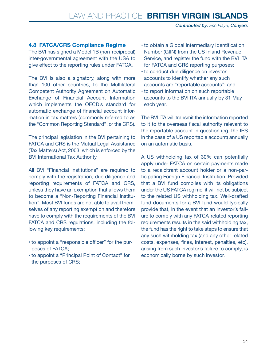#### <span id="page-13-0"></span>**4.8 FATCA/CRS Compliance Regime**

The BVI has signed a Model 1B (non-reciprocal) inter-governmental agreement with the USA to give effect to the reporting rules under FATCA.

The BVI is also a signatory, along with more than 100 other countries, to the Multilateral Competent Authority Agreement on Automatic Exchange of Financial Account Information which implements the OECD's standard for automatic exchange of financial account information in tax matters (commonly referred to as the "Common Reporting Standard", or the CRS).

The principal legislation in the BVI pertaining to FATCA and CRS is the Mutual Legal Assistance (Tax Matters) Act, 2003, which is enforced by the BVI International Tax Authority.

All BVI "Financial Institutions" are required to comply with the registration, due diligence and reporting requirements of FATCA and CRS, unless they have an exemption that allows them to become a "Non-Reporting Financial Institution". Most BVI funds are not able to avail themselves of any reporting exemption and therefore have to comply with the requirements of the BVI FATCA and CRS regulations, including the following key requirements:

- to appoint a "responsible officer" for the purposes of FATCA;
- to appoint a "Principal Point of Contact" for the purposes of CRS;
- to obtain a Global Intermediary Identification Number (GIIN) from the US Inland Revenue Service, and register the fund with the BVI ITA for FATCA and CRS reporting purposes;
- to conduct due diligence on investor accounts to identify whether any such accounts are "reportable accounts"; and
- to report information on such reportable accounts to the BVI ITA annually by 31 May each year.

The BVI ITA will transmit the information reported to it to the overseas fiscal authority relevant to the reportable account in question (eg, the IRS in the case of a US reportable account) annually on an automatic basis.

A US withholding tax of 30% can potentially apply under FATCA on certain payments made to a recalcitrant account holder or a non-participating Foreign Financial Institution. Provided that a BVI fund complies with its obligations under the US FATCA regime, it will not be subject to the related US withholding tax. Well-drafted fund documents for a BVI fund would typically provide that, in the event that an investor's failure to comply with any FATCA-related reporting requirements results in the said withholding tax, the fund has the right to take steps to ensure that any such withholding tax (and any other related costs, expenses, fines, interest, penalties, etc), arising from such investor's failure to comply, is economically borne by such investor.